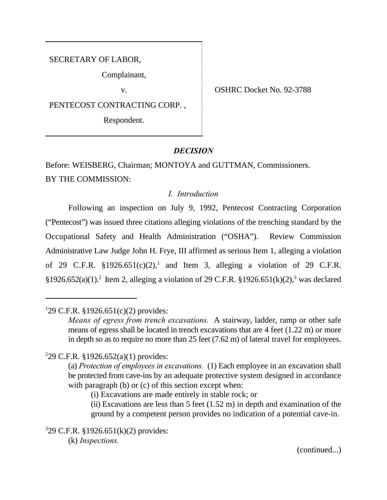SECRETARY OF LABOR,

Complainant,

PENTECOST CONTRACTING CORP. ,

Respondent.

v. Solution of the SHRC Docket No. 92-3788

# *DECISION*

Before: WEISBERG, Chairman; MONTOYA and GUTTMAN, Commissioners. BY THE COMMISSION:

# *I. Introduction*

Following an inspection on July 9, 1992, Pentecost Contracting Corporation ("Pentecost") was issued three citations alleging violations of the trenching standard by the Occupational Safety and Health Administration ("OSHA"). Review Commission Administrative Law Judge John H. Frye, III affirmed as serious Item 1, alleging a violation of 29 C.F.R.  $\S 1926.651(c)(2)$ , and Item 3, alleging a violation of 29 C.F.R. §1926.652(a)(1).<sup>2</sup> Item 2, alleging a violation of 29 C.F.R. §1926.651(k)(2),<sup>3</sup> was declared

<sup>1</sup>29 C.F.R. §1926.651(c)(2) provides:

 $229$  C.F.R. §1926.652(a)(1) provides:

(i) Excavations are made entirely in stable rock; or

(ii) Excavations are less than  $5$  feet  $(1.52 \text{ m})$  in depth and examination of the ground by a competent person provides no indication of a potential cave-in.

 $329$  C.F.R. §1926.651(k)(2) provides: (k) *Inspections.*

(continued...)

*Means of egress from trench excavations.* A stairway, ladder, ramp or other safe means of egress shall be located in trench excavations that are 4 feet (1.22 m) or more in depth so as to require no more than 25 feet (7.62 m) of lateral travel for employees.

<sup>(</sup>a) *Protection of employees in excavations.* (1) Each employee in an excavation shall be protected from cave-ins by an adequate protective system designed in accordance with paragraph (b) or (c) of this section except when: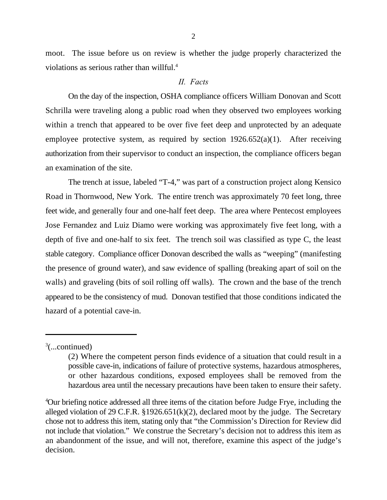moot. The issue before us on review is whether the judge properly characterized the violations as serious rather than willful.<sup>4</sup>

#### *II. Facts*

On the day of the inspection, OSHA compliance officers William Donovan and Scott Schrilla were traveling along a public road when they observed two employees working within a trench that appeared to be over five feet deep and unprotected by an adequate employee protective system, as required by section  $1926.652(a)(1)$ . After receiving authorization from their supervisor to conduct an inspection, the compliance officers began an examination of the site.

The trench at issue, labeled "T-4," was part of a construction project along Kensico Road in Thornwood, New York. The entire trench was approximately 70 feet long, three feet wide, and generally four and one-half feet deep. The area where Pentecost employees Jose Fernandez and Luiz Diamo were working was approximately five feet long, with a depth of five and one-half to six feet. The trench soil was classified as type C, the least stable category. Compliance officer Donovan described the walls as "weeping" (manifesting the presence of ground water), and saw evidence of spalling (breaking apart of soil on the walls) and graveling (bits of soil rolling off walls). The crown and the base of the trench appeared to be the consistency of mud. Donovan testified that those conditions indicated the hazard of a potential cave-in.

#### $\frac{3}{2}$ (...continued)

<sup>(2)</sup> Where the competent person finds evidence of a situation that could result in a possible cave-in, indications of failure of protective systems, hazardous atmospheres, or other hazardous conditions, exposed employees shall be removed from the hazardous area until the necessary precautions have been taken to ensure their safety.

Our briefing notice addressed all three items of the citation before Judge Frye, including the <sup>4</sup> alleged violation of 29 C.F.R. §1926.651(k)(2), declared moot by the judge. The Secretary chose not to address this item, stating only that "the Commission's Direction for Review did not include that violation." We construe the Secretary's decision not to address this item as an abandonment of the issue, and will not, therefore, examine this aspect of the judge's decision.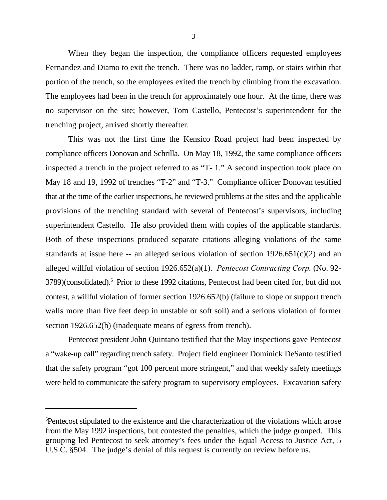When they began the inspection, the compliance officers requested employees Fernandez and Diamo to exit the trench. There was no ladder, ramp, or stairs within that portion of the trench, so the employees exited the trench by climbing from the excavation. The employees had been in the trench for approximately one hour. At the time, there was no supervisor on the site; however, Tom Castello, Pentecost's superintendent for the trenching project, arrived shortly thereafter.

This was not the first time the Kensico Road project had been inspected by compliance officers Donovan and Schrilla. On May 18, 1992, the same compliance officers inspected a trench in the project referred to as "T- 1." A second inspection took place on May 18 and 19, 1992 of trenches "T-2" and "T-3." Compliance officer Donovan testified that at the time of the earlier inspections, he reviewed problems at the sites and the applicable provisions of the trenching standard with several of Pentecost's supervisors, including superintendent Castello. He also provided them with copies of the applicable standards. Both of these inspections produced separate citations alleging violations of the same standards at issue here  $-$  an alleged serious violation of section  $1926.651(c)(2)$  and an alleged willful violation of section 1926.652(a)(1). *Pentecost Contracting Corp.* (No. 92- 3789)(consolidated).<sup>5</sup> Prior to these 1992 citations, Pentecost had been cited for, but did not contest, a willful violation of former section 1926.652(b) (failure to slope or support trench walls more than five feet deep in unstable or soft soil) and a serious violation of former section 1926.652(h) (inadequate means of egress from trench).

Pentecost president John Quintano testified that the May inspections gave Pentecost a "wake-up call" regarding trench safety. Project field engineer Dominick DeSanto testified that the safety program "got 100 percent more stringent," and that weekly safety meetings were held to communicate the safety program to supervisory employees. Excavation safety

<sup>&</sup>lt;sup>5</sup>Pentecost stipulated to the existence and the characterization of the violations which arose from the May 1992 inspections, but contested the penalties, which the judge grouped. This grouping led Pentecost to seek attorney's fees under the Equal Access to Justice Act, 5 U.S.C. §504. The judge's denial of this request is currently on review before us.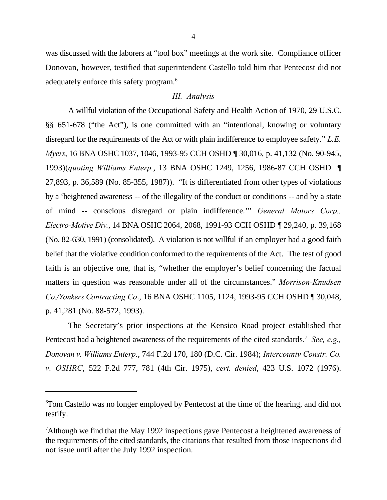was discussed with the laborers at "tool box" meetings at the work site. Compliance officer Donovan, however, testified that superintendent Castello told him that Pentecost did not adequately enforce this safety program.<sup>6</sup>

### *III. Analysis*

A willful violation of the Occupational Safety and Health Action of 1970, 29 U.S.C. §§ 651-678 ("the Act"), is one committed with an "intentional, knowing or voluntary disregard for the requirements of the Act or with plain indifference to employee safety." *L.E. Myers*, 16 BNA OSHC 1037, 1046, 1993-95 CCH OSHD ¶ 30,016, p. 41,132 (No. 90-945, 1993)(*quoting Williams Enterp.*, 13 BNA OSHC 1249, 1256, 1986-87 CCH OSHD ¶ 27,893, p. 36,589 (No. 85-355, 1987)). "It is differentiated from other types of violations by a 'heightened awareness -- of the illegality of the conduct or conditions -- and by a state of mind -- conscious disregard or plain indifference.'" *General Motors Corp., Electro-Motive Div.*, 14 BNA OSHC 2064, 2068, 1991-93 CCH OSHD ¶ 29,240, p. 39,168 (No. 82-630, 1991) (consolidated). A violation is not willful if an employer had a good faith belief that the violative condition conformed to the requirements of the Act. The test of good faith is an objective one, that is, "whether the employer's belief concerning the factual matters in question was reasonable under all of the circumstances." *Morrison-Knudsen Co./Yonkers Contracting Co*., 16 BNA OSHC 1105, 1124, 1993-95 CCH OSHD ¶ 30,048, p. 41,281 (No. 88-572, 1993).

The Secretary's prior inspections at the Kensico Road project established that Pentecost had a heightened awareness of the requirements of the cited standards.<sup>7</sup> See, e.g., *Donovan v. Williams Enterp.*, 744 F.2d 170, 180 (D.C. Cir. 1984); *Intercounty Constr. Co. v. OSHRC*, 522 F.2d 777, 781 (4th Cir. 1975), *cert. denied*, 423 U.S. 1072 (1976).

Tom Castello was no longer employed by Pentecost at the time of the hearing, and did not <sup>6</sup> testify.

<sup>&</sup>lt;sup>7</sup>Although we find that the May 1992 inspections gave Pentecost a heightened awareness of the requirements of the cited standards, the citations that resulted from those inspections did not issue until after the July 1992 inspection.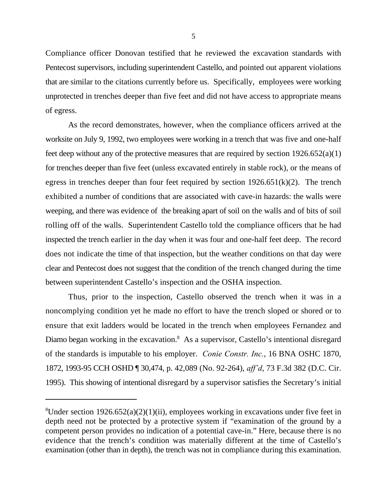Compliance officer Donovan testified that he reviewed the excavation standards with Pentecost supervisors, including superintendent Castello, and pointed out apparent violations that are similar to the citations currently before us. Specifically, employees were working unprotected in trenches deeper than five feet and did not have access to appropriate means of egress.

As the record demonstrates, however, when the compliance officers arrived at the worksite on July 9, 1992, two employees were working in a trench that was five and one-half feet deep without any of the protective measures that are required by section  $1926.652(a)(1)$ for trenches deeper than five feet (unless excavated entirely in stable rock), or the means of egress in trenches deeper than four feet required by section  $1926.651(k)(2)$ . The trench exhibited a number of conditions that are associated with cave-in hazards: the walls were weeping, and there was evidence of the breaking apart of soil on the walls and of bits of soil rolling off of the walls. Superintendent Castello told the compliance officers that he had inspected the trench earlier in the day when it was four and one-half feet deep. The record does not indicate the time of that inspection, but the weather conditions on that day were clear and Pentecost does not suggest that the condition of the trench changed during the time between superintendent Castello's inspection and the OSHA inspection.

Thus, prior to the inspection, Castello observed the trench when it was in a noncomplying condition yet he made no effort to have the trench sloped or shored or to ensure that exit ladders would be located in the trench when employees Fernandez and Diamo began working in the excavation.<sup>8</sup> As a supervisor, Castello's intentional disregard of the standards is imputable to his employer. *Conie Constr. Inc.*, 16 BNA OSHC 1870, 1872, 1993-95 CCH OSHD ¶ 30,474, p. 42,089 (No. 92-264), *aff'd*, 73 F.3d 382 (D.C. Cir. 1995). This showing of intentional disregard by a supervisor satisfies the Secretary's initial

<sup>&</sup>lt;sup>8</sup>Under section 1926.652(a)(2)(1)(ii), employees working in excavations under five feet in depth need not be protected by a protective system if "examination of the ground by a competent person provides no indication of a potential cave-in." Here, because there is no evidence that the trench's condition was materially different at the time of Castello's examination (other than in depth), the trench was not in compliance during this examination.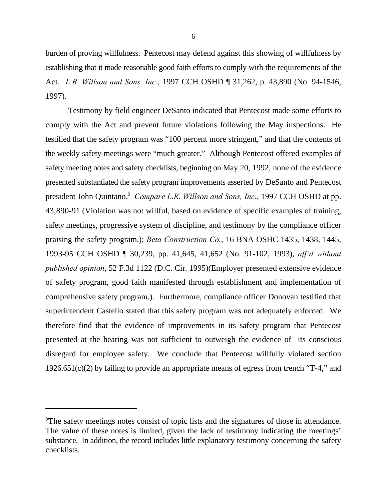burden of proving willfulness. Pentecost may defend against this showing of willfulness by establishing that it made reasonable good faith efforts to comply with the requirements of the Act. *L.R. Willson and Sons, Inc.*, 1997 CCH OSHD ¶ 31,262, p. 43,890 (No. 94-1546, 1997).

Testimony by field engineer DeSanto indicated that Pentecost made some efforts to comply with the Act and prevent future violations following the May inspections. He testified that the safety program was "100 percent more stringent," and that the contents of the weekly safety meetings were "much greater." Although Pentecost offered examples of safety meeting notes and safety checklists, beginning on May 20, 1992, none of the evidence presented substantiated the safety program improvements asserted by DeSanto and Pentecost president John Quintano.<sup>9</sup> Compare L.R. Willson and Sons, Inc., 1997 CCH OSHD at pp. 43,890-91 (Violation was not willful, based on evidence of specific examples of training, safety meetings, progressive system of discipline, and testimony by the compliance officer praising the safety program.); *Beta Construction Co.*, 16 BNA OSHC 1435, 1438, 1445, 1993-95 CCH OSHD ¶ 30,239, pp. 41,645, 41,652 (No. 91-102, 1993), *aff'd without published opinion*, 52 F.3d 1122 (D.C. Cir. 1995)(Employer presented extensive evidence of safety program, good faith manifested through establishment and implementation of comprehensive safety program.). Furthermore, compliance officer Donovan testified that superintendent Castello stated that this safety program was not adequately enforced. We therefore find that the evidence of improvements in its safety program that Pentecost presented at the hearing was not sufficient to outweigh the evidence of its conscious disregard for employee safety. We conclude that Pentecost willfully violated section 1926.651(c)(2) by failing to provide an appropriate means of egress from trench "T-4," and

<sup>&</sup>lt;sup>9</sup>The safety meetings notes consist of topic lists and the signatures of those in attendance. The value of these notes is limited, given the lack of testimony indicating the meetings' substance. In addition, the record includes little explanatory testimony concerning the safety checklists.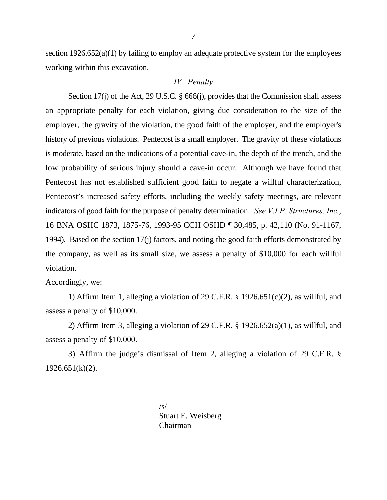section 1926.652(a)(1) by failing to employ an adequate protective system for the employees working within this excavation.

## *IV. Penalty*

Section 17(j) of the Act, 29 U.S.C. § 666(j), provides that the Commission shall assess an appropriate penalty for each violation, giving due consideration to the size of the employer, the gravity of the violation, the good faith of the employer, and the employer's history of previous violations. Pentecost is a small employer. The gravity of these violations is moderate, based on the indications of a potential cave-in, the depth of the trench, and the low probability of serious injury should a cave-in occur. Although we have found that Pentecost has not established sufficient good faith to negate a willful characterization, Pentecost's increased safety efforts, including the weekly safety meetings, are relevant indicators of good faith for the purpose of penalty determination. *See V.I.P. Structures, Inc.*, 16 BNA OSHC 1873, 1875-76, 1993-95 CCH OSHD ¶ 30,485, p. 42,110 (No. 91-1167, 1994). Based on the section 17(j) factors, and noting the good faith efforts demonstrated by the company, as well as its small size, we assess a penalty of \$10,000 for each willful violation.

## Accordingly, we:

1) Affirm Item 1, alleging a violation of 29 C.F.R.  $\S$  1926.651(c)(2), as willful, and assess a penalty of \$10,000.

2) Affirm Item 3, alleging a violation of 29 C.F.R. § 1926.652(a)(1), as willful, and assess a penalty of \$10,000.

3) Affirm the judge's dismissal of Item 2, alleging a violation of 29 C.F.R. §  $1926.651(k)(2)$ .

> /s/ Stuart E. Weisberg Chairman